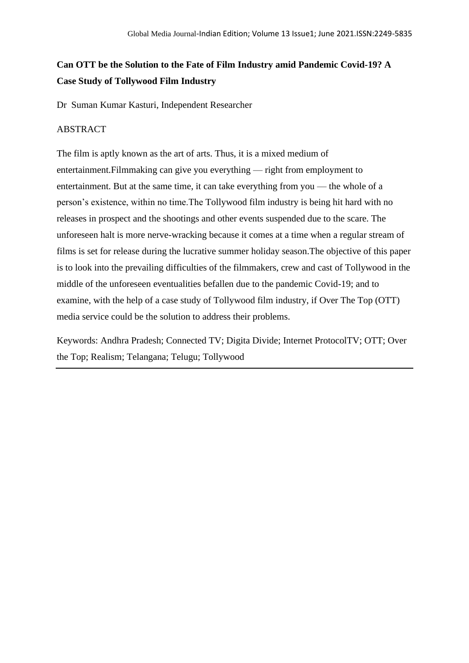# **Can OTT be the Solution to the Fate of Film Industry amid Pandemic Covid-19? A Case Study of Tollywood Film Industry**

Dr Suman Kumar Kasturi, Independent Researcher

## ABSTRACT

The film is aptly known as the art of arts. Thus, it is a mixed medium of entertainment.Filmmaking can give you everything — right from employment to entertainment. But at the same time, it can take everything from you — the whole of a person's existence, within no time.The Tollywood film industry is being hit hard with no releases in prospect and the shootings and other events suspended due to the scare. The unforeseen halt is more nerve-wracking because it comes at a time when a regular stream of films is set for release during the lucrative summer holiday season.The objective of this paper is to look into the prevailing difficulties of the filmmakers, crew and cast of Tollywood in the middle of the unforeseen eventualities befallen due to the pandemic Covid-19; and to examine, with the help of a case study of Tollywood film industry, if Over The Top (OTT) media service could be the solution to address their problems.

Keywords: Andhra Pradesh; Connected TV; Digita Divide; Internet ProtocolTV; OTT; Over the Top; Realism; Telangana; Telugu; Tollywood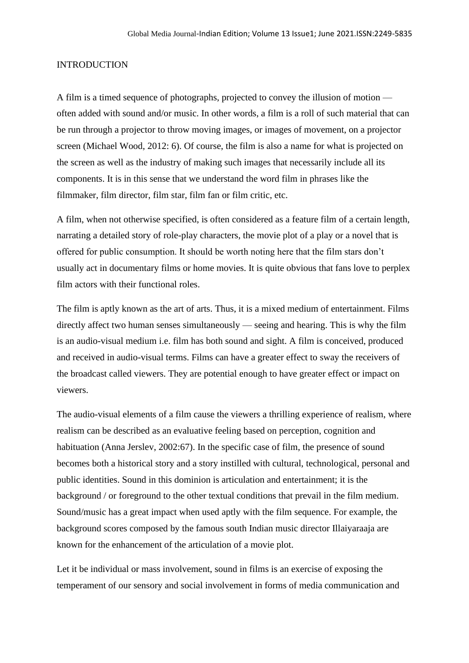## INTRODUCTION

A film is a timed sequence of photographs, projected to convey the illusion of motion often added with sound and/or music. In other words, a film is a roll of such material that can be run through a projector to throw moving images, or images of movement, on a projector screen (Michael Wood, 2012: 6). Of course, the film is also a name for what is projected on the screen as well as the industry of making such images that necessarily include all its components. It is in this sense that we understand the word film in phrases like the filmmaker, film director, film star, film fan or film critic, etc.

A film, when not otherwise specified, is often considered as a feature film of a certain length, narrating a detailed story of role-play characters, the movie plot of a play or a novel that is offered for public consumption. It should be worth noting here that the film stars don't usually act in documentary films or home movies. It is quite obvious that fans love to perplex film actors with their functional roles.

The film is aptly known as the art of arts. Thus, it is a mixed medium of entertainment. Films directly affect two human senses simultaneously — seeing and hearing. This is why the film is an audio-visual medium i.e. film has both sound and sight. A film is conceived, produced and received in audio-visual terms. Films can have a greater effect to sway the receivers of the broadcast called viewers. They are potential enough to have greater effect or impact on viewers.

The audio-visual elements of a film cause the viewers a thrilling experience of realism, where realism can be described as an evaluative feeling based on perception, cognition and habituation (Anna Jerslev, 2002:67). In the specific case of film, the presence of sound becomes both a historical story and a story instilled with cultural, technological, personal and public identities. Sound in this dominion is articulation and entertainment; it is the background / or foreground to the other textual conditions that prevail in the film medium. Sound/music has a great impact when used aptly with the film sequence. For example, the background scores composed by the famous south Indian music director Illaiyaraaja are known for the enhancement of the articulation of a movie plot.

Let it be individual or mass involvement, sound in films is an exercise of exposing the temperament of our sensory and social involvement in forms of media communication and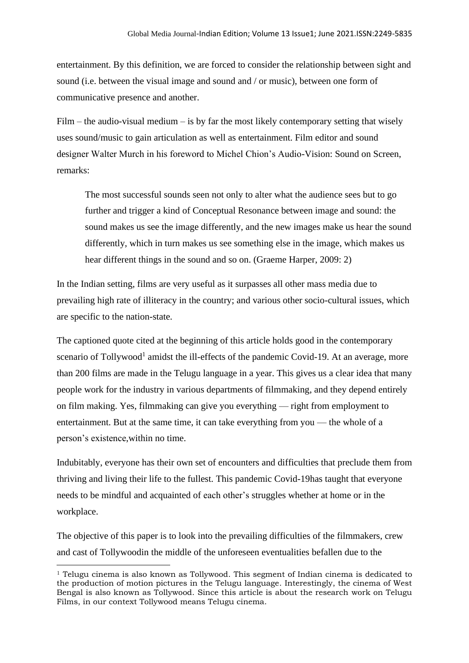entertainment. By this definition, we are forced to consider the relationship between sight and sound (i.e. between the visual image and sound and / or music), between one form of communicative presence and another.

 $Film - the audio-visual medium - is by far the most likely contemporary setting that wisely$ uses sound/music to gain articulation as well as entertainment. Film editor and sound designer Walter Murch in his foreword to Michel Chion's Audio-Vision: Sound on Screen, remarks:

The most successful sounds seen not only to alter what the audience sees but to go further and trigger a kind of Conceptual Resonance between image and sound: the sound makes us see the image differently, and the new images make us hear the sound differently, which in turn makes us see something else in the image, which makes us hear different things in the sound and so on. (Graeme Harper, 2009: 2)

In the Indian setting, films are very useful as it surpasses all other mass media due to prevailing high rate of illiteracy in the country; and various other socio-cultural issues, which are specific to the nation-state.

The captioned quote cited at the beginning of this article holds good in the contemporary scenario of Tollywood<sup>1</sup> amidst the ill-effects of the pandemic Covid-19. At an average, more than 200 films are made in the Telugu language in a year. This gives us a clear idea that many people work for the industry in various departments of filmmaking, and they depend entirely on film making. Yes, filmmaking can give you everything — right from employment to entertainment. But at the same time, it can take everything from you — the whole of a person's existence,within no time.

Indubitably, everyone has their own set of encounters and difficulties that preclude them from thriving and living their life to the fullest. This pandemic Covid-19has taught that everyone needs to be mindful and acquainted of each other's struggles whether at home or in the workplace.

The objective of this paper is to look into the prevailing difficulties of the filmmakers, crew and cast of Tollywoodin the middle of the unforeseen eventualities befallen due to the

 $1$  Telugu cinema is also known as Tollywood. This segment of Indian cinema is dedicated to the production of motion pictures in the Telugu language. Interestingly, the cinema of West Bengal is also known as Tollywood. Since this article is about the research work on Telugu Films, in our context Tollywood means Telugu cinema.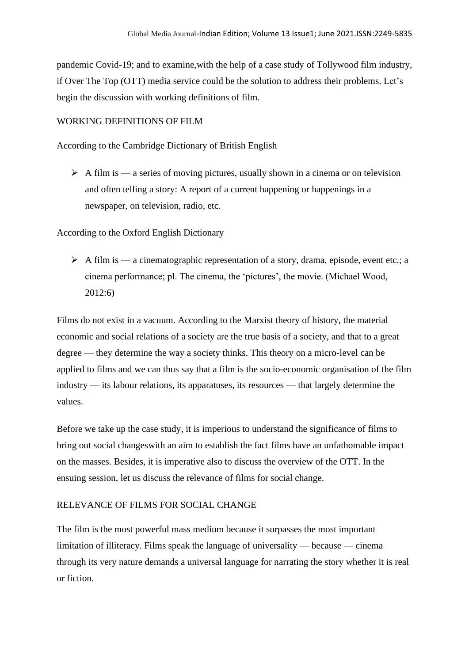pandemic Covid-19; and to examine,with the help of a case study of Tollywood film industry, if Over The Top (OTT) media service could be the solution to address their problems. Let's begin the discussion with working definitions of film.

## WORKING DEFINITIONS OF FILM

According to the Cambridge Dictionary of British English

 $\triangleright$  A film is — a series of moving pictures, usually shown in a cinema or on television and often telling a story: A report of a current happening or happenings in a newspaper, on television, radio, etc.

According to the Oxford English Dictionary

 $\triangleright$  A film is — a cinematographic representation of a story, drama, episode, event etc.; a cinema performance; pl. The cinema, the 'pictures', the movie. (Michael Wood, 2012:6)

Films do not exist in a vacuum. According to the Marxist theory of history, the material economic and social relations of a society are the true basis of a society, and that to a great degree — they determine the way a society thinks. This theory on a micro-level can be applied to films and we can thus say that a film is the socio-economic organisation of the film industry — its labour relations, its apparatuses, its resources — that largely determine the values.

Before we take up the case study, it is imperious to understand the significance of films to bring out social changeswith an aim to establish the fact films have an unfathomable impact on the masses. Besides, it is imperative also to discuss the overview of the OTT. In the ensuing session, let us discuss the relevance of films for social change.

# RELEVANCE OF FILMS FOR SOCIAL CHANGE

The film is the most powerful mass medium because it surpasses the most important limitation of illiteracy. Films speak the language of universality — because — cinema through its very nature demands a universal language for narrating the story whether it is real or fiction.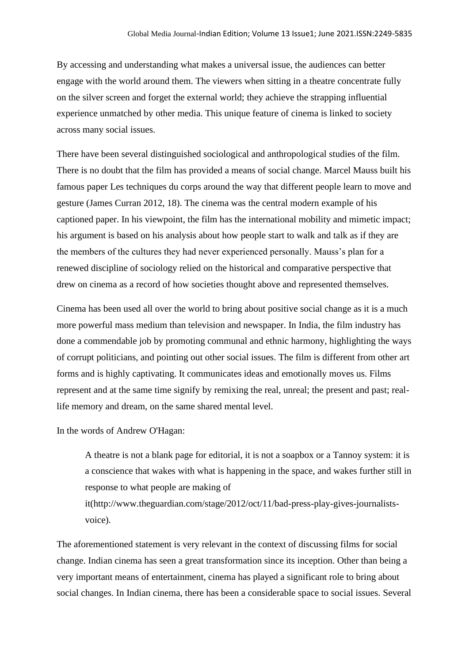By accessing and understanding what makes a universal issue, the audiences can better engage with the world around them. The viewers when sitting in a theatre concentrate fully on the silver screen and forget the external world; they achieve the strapping influential experience unmatched by other media. This unique feature of cinema is linked to society across many social issues.

There have been several distinguished sociological and anthropological studies of the film. There is no doubt that the film has provided a means of social change. Marcel Mauss built his famous paper Les techniques du corps around the way that different people learn to move and gesture (James Curran 2012, 18). The cinema was the central modern example of his captioned paper. In his viewpoint, the film has the international mobility and mimetic impact; his argument is based on his analysis about how people start to walk and talk as if they are the members of the cultures they had never experienced personally. Mauss's plan for a renewed discipline of sociology relied on the historical and comparative perspective that drew on cinema as a record of how societies thought above and represented themselves.

Cinema has been used all over the world to bring about positive social change as it is a much more powerful mass medium than television and newspaper. In India, the film industry has done a commendable job by promoting communal and ethnic harmony, highlighting the ways of corrupt politicians, and pointing out other social issues. The film is different from other art forms and is highly captivating. It communicates ideas and emotionally moves us. Films represent and at the same time signify by remixing the real, unreal; the present and past; reallife memory and dream, on the same shared mental level.

In the words of Andrew O'Hagan:

A theatre is not a blank page for editorial, it is not a soapbox or a Tannoy system: it is a conscience that wakes with what is happening in the space, and wakes further still in response to what people are making of

it(http://www.theguardian.com/stage/2012/oct/11/bad-press-play-gives-journalistsvoice).

The aforementioned statement is very relevant in the context of discussing films for social change. Indian cinema has seen a great transformation since its inception. Other than being a very important means of entertainment, cinema has played a significant role to bring about social changes. In Indian cinema, there has been a considerable space to social issues. Several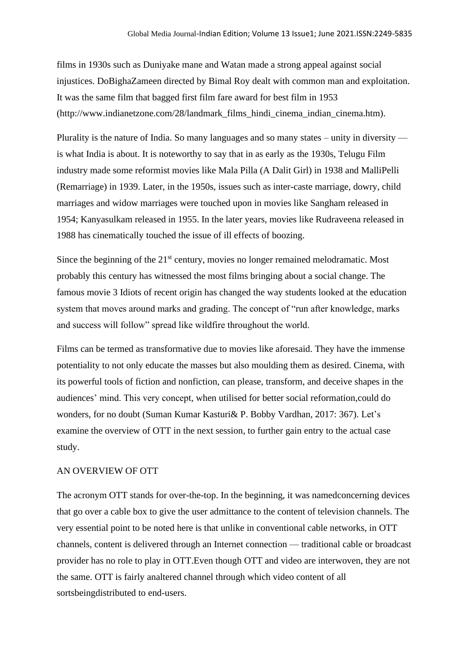films in 1930s such as Duniyake mane and Watan made a strong appeal against social injustices. DoBighaZameen directed by Bimal Roy dealt with common man and exploitation. It was the same film that bagged first film fare award for best film in 1953 (http://www.indianetzone.com/28/landmark\_films\_hindi\_cinema\_indian\_cinema.htm).

Plurality is the nature of India. So many languages and so many states – unity in diversity is what India is about. It is noteworthy to say that in as early as the 1930s, Telugu Film industry made some reformist movies like Mala Pilla (A Dalit Girl) in 1938 and MalliPelli (Remarriage) in 1939. Later, in the 1950s, issues such as inter-caste marriage, dowry, child marriages and widow marriages were touched upon in movies like Sangham released in 1954; Kanyasulkam released in 1955. In the later years, movies like Rudraveena released in 1988 has cinematically touched the issue of ill effects of boozing.

Since the beginning of the  $21<sup>st</sup>$  century, movies no longer remained melodramatic. Most probably this century has witnessed the most films bringing about a social change. The famous movie 3 Idiots of recent origin has changed the way students looked at the education system that moves around marks and grading. The concept of "run after knowledge, marks and success will follow" spread like wildfire throughout the world.

Films can be termed as transformative due to movies like aforesaid. They have the immense potentiality to not only educate the masses but also moulding them as desired. Cinema, with its powerful tools of fiction and nonfiction, can please, transform, and deceive shapes in the audiences' mind. This very concept, when utilised for better social reformation,could do wonders, for no doubt (Suman Kumar Kasturi& P. Bobby Vardhan, 2017: 367). Let's examine the overview of OTT in the next session, to further gain entry to the actual case study.

#### AN OVERVIEW OF OTT

The acronym OTT stands for over-the-top. In the beginning, it was namedconcerning devices that go over a cable box to give the user admittance to the content of television channels. The very essential point to be noted here is that unlike in conventional cable networks, in OTT channels, content is delivered through an Internet connection — traditional cable or broadcast provider has no role to play in OTT.Even though OTT and video are interwoven, they are not the same. OTT is fairly analtered channel through which video content of all sortsbeingdistributed to end-users.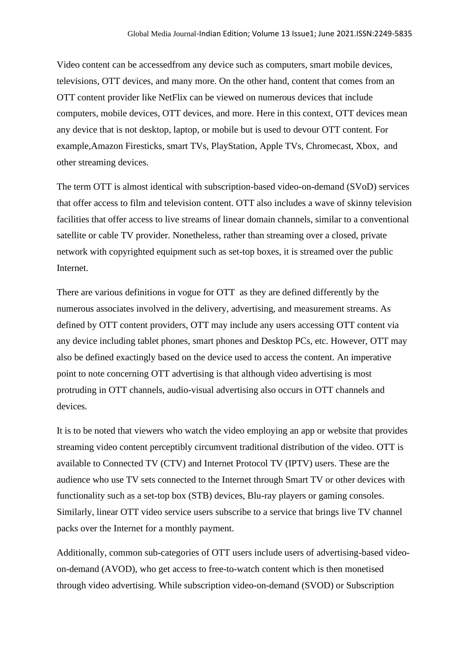Video content can be accessedfrom any device such as computers, smart mobile devices, televisions, OTT devices, and many more. On the other hand, content that comes from an OTT content provider like NetFlix can be viewed on numerous devices that include computers, mobile devices, OTT devices, and more. Here in this context, OTT devices mean any device that is not desktop, laptop, or mobile but is used to devour OTT content. For example,Amazon Firesticks, smart TVs, PlayStation, Apple TVs, Chromecast, Xbox, and other streaming devices.

The term OTT is almost identical with subscription-based video-on-demand (SVoD) services that offer access to film and television content. OTT also includes a wave of skinny television facilities that offer access to live streams of linear domain channels, similar to a conventional satellite or cable TV provider. Nonetheless, rather than streaming over a closed, private network with copyrighted equipment such as set-top boxes, it is streamed over the public **Internet** 

There are various definitions in vogue for OTT as they are defined differently by the numerous associates involved in the delivery, advertising, and measurement streams. As defined by OTT content providers, OTT may include any users accessing OTT content via any device including tablet phones, smart phones and Desktop PCs, etc. However, OTT may also be defined exactingly based on the device used to access the content. An imperative point to note concerning OTT advertising is that although video advertising is most protruding in OTT channels, audio-visual advertising also occurs in OTT channels and devices.

It is to be noted that viewers who watch the video employing an app or website that provides streaming video content perceptibly circumvent traditional distribution of the video. OTT is available to Connected TV (CTV) and Internet Protocol TV (IPTV) users. These are the audience who use TV sets connected to the Internet through Smart TV or other devices with functionality such as a set-top box (STB) devices, Blu-ray players or gaming consoles. Similarly, linear OTT video service users subscribe to a service that brings live TV channel packs over the Internet for a monthly payment.

Additionally, common sub-categories of OTT users include users of advertising-based videoon-demand (AVOD), who get access to free-to-watch content which is then monetised through video advertising. While subscription video-on-demand (SVOD) or Subscription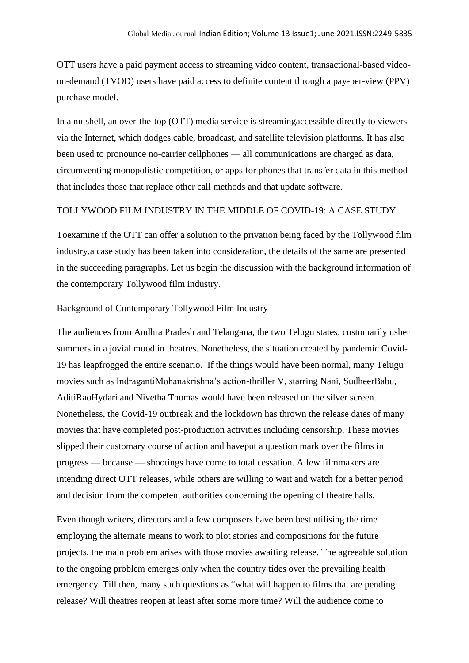OTT users have a paid payment access to streaming video content, transactional-based videoon-demand (TVOD) users have paid access to definite content through a pay-per-view (PPV) purchase model.

In a nutshell, an over-the-top (OTT) media service is streamingaccessible directly to viewers via the Internet, which dodges cable, broadcast, and satellite television platforms. It has also been used to pronounce no-carrier cellphones — all communications are charged as data, circumventing monopolistic competition, or apps for phones that transfer data in this method that includes those that replace other call methods and that update software.

#### TOLLYWOOD FILM INDUSTRY IN THE MIDDLE OF COVID-19: A CASE STUDY

Toexamine if the OTT can offer a solution to the privation being faced by the Tollywood film industry,a case study has been taken into consideration, the details of the same are presented in the succeeding paragraphs. Let us begin the discussion with the background information of the contemporary Tollywood film industry.

#### Background of Contemporary Tollywood Film Industry

The audiences from Andhra Pradesh and Telangana, the two Telugu states, customarily usher summers in a jovial mood in theatres. Nonetheless, the situation created by pandemic Covid-19 has leapfrogged the entire scenario. If the things would have been normal, many Telugu movies such as IndragantiMohanakrishna's action-thriller V, starring Nani, SudheerBabu, AditiRaoHydari and Nivetha Thomas would have been released on the silver screen. Nonetheless, the Covid-19 outbreak and the lockdown has thrown the release dates of many movies that have completed post-production activities including censorship. These movies slipped their customary course of action and haveput a question mark over the films in progress — because — shootings have come to total cessation. A few filmmakers are intending direct OTT releases, while others are willing to wait and watch for a better period and decision from the competent authorities concerning the opening of theatre halls.

Even though writers, directors and a few composers have been best utilising the time employing the alternate means to work to plot stories and compositions for the future projects, the main problem arises with those movies awaiting release. The agreeable solution to the ongoing problem emerges only when the country tides over the prevailing health emergency. Till then, many such questions as "what will happen to films that are pending release? Will theatres reopen at least after some more time? Will the audience come to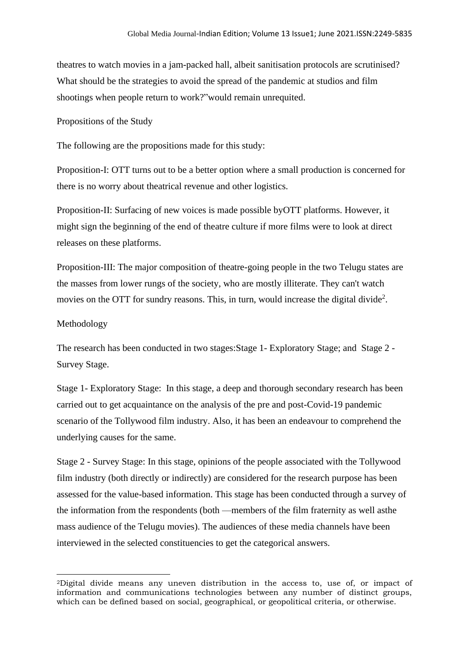theatres to watch movies in a jam-packed hall, albeit sanitisation protocols are scrutinised? What should be the strategies to avoid the spread of the pandemic at studios and film shootings when people return to work?"would remain unrequited.

Propositions of the Study

The following are the propositions made for this study:

Proposition-I: OTT turns out to be a better option where a small production is concerned for there is no worry about theatrical revenue and other logistics.

Proposition-II: Surfacing of new voices is made possible byOTT platforms. However, it might sign the beginning of the end of theatre culture if more films were to look at direct releases on these platforms.

Proposition-III: The major composition of theatre-going people in the two Telugu states are the masses from lower rungs of the society, who are mostly illiterate. They can't watch movies on the OTT for sundry reasons. This, in turn, would increase the digital divide<sup>2</sup>.

#### Methodology

The research has been conducted in two stages:Stage 1- Exploratory Stage; and Stage 2 - Survey Stage.

Stage 1- Exploratory Stage: In this stage, a deep and thorough secondary research has been carried out to get acquaintance on the analysis of the pre and post-Covid-19 pandemic scenario of the Tollywood film industry. Also, it has been an endeavour to comprehend the underlying causes for the same.

Stage 2 - Survey Stage: In this stage, opinions of the people associated with the Tollywood film industry (both directly or indirectly) are considered for the research purpose has been assessed for the value-based information. This stage has been conducted through a survey of the information from the respondents (both —members of the film fraternity as well asthe mass audience of the Telugu movies). The audiences of these media channels have been interviewed in the selected constituencies to get the categorical answers.

<sup>2</sup>Digital divide means any uneven distribution in the access to, use of, or impact of information and communications technologies between any number of distinct groups, which can be defined based on social, geographical, or geopolitical criteria, or otherwise.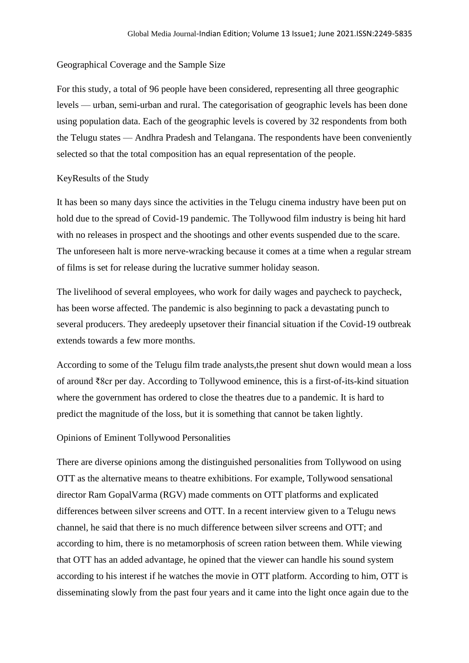## Geographical Coverage and the Sample Size

For this study, a total of 96 people have been considered, representing all three geographic levels — urban, semi-urban and rural. The categorisation of geographic levels has been done using population data. Each of the geographic levels is covered by 32 respondents from both the Telugu states — Andhra Pradesh and Telangana. The respondents have been conveniently selected so that the total composition has an equal representation of the people.

#### KeyResults of the Study

It has been so many days since the activities in the Telugu cinema industry have been put on hold due to the spread of Covid-19 pandemic. The Tollywood film industry is being hit hard with no releases in prospect and the shootings and other events suspended due to the scare. The unforeseen halt is more nerve-wracking because it comes at a time when a regular stream of films is set for release during the lucrative summer holiday season.

The livelihood of several employees, who work for daily wages and paycheck to paycheck, has been worse affected. The pandemic is also beginning to pack a devastating punch to several producers. They aredeeply upsetover their financial situation if the Covid-19 outbreak extends towards a few more months.

According to some of the Telugu film trade analysts,the present shut down would mean a loss of around ₹8cr per day. According to Tollywood eminence, this is a first-of-its-kind situation where the government has ordered to close the theatres due to a pandemic. It is hard to predict the magnitude of the loss, but it is something that cannot be taken lightly.

#### Opinions of Eminent Tollywood Personalities

There are diverse opinions among the distinguished personalities from Tollywood on using OTT as the alternative means to theatre exhibitions. For example, Tollywood sensational director Ram GopalVarma (RGV) made comments on OTT platforms and explicated differences between silver screens and OTT. In a recent interview given to a Telugu news channel, he said that there is no much difference between silver screens and OTT; and according to him, there is no metamorphosis of screen ration between them. While viewing that OTT has an added advantage, he opined that the viewer can handle his sound system according to his interest if he watches the movie in OTT platform. According to him, OTT is disseminating slowly from the past four years and it came into the light once again due to the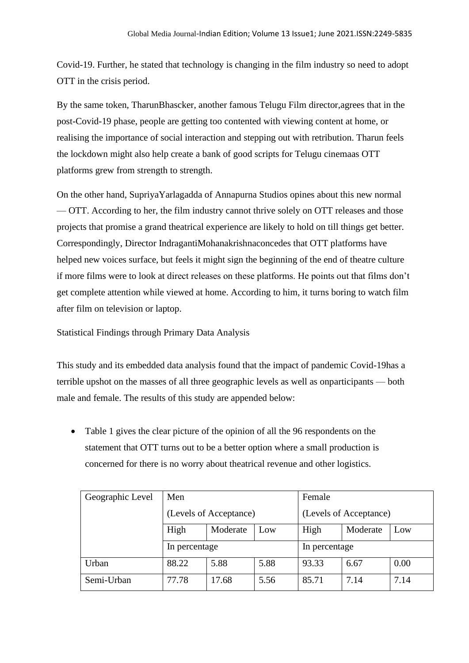Covid-19. Further, he stated that technology is changing in the film industry so need to adopt OTT in the crisis period.

By the same token, TharunBhascker, another famous Telugu Film director,agrees that in the post-Covid-19 phase, people are getting too contented with viewing content at home, or realising the importance of social interaction and stepping out with retribution. Tharun feels the lockdown might also help create a bank of good scripts for Telugu cinemaas OTT platforms grew from strength to strength.

On the other hand, SupriyaYarlagadda of Annapurna Studios opines about this new normal — OTT. According to her, the film industry cannot thrive solely on OTT releases and those projects that promise a grand theatrical experience are likely to hold on till things get better. Correspondingly, Director IndragantiMohanakrishnaconcedes that OTT platforms have helped new voices surface, but feels it might sign the beginning of the end of theatre culture if more films were to look at direct releases on these platforms. He points out that films don't get complete attention while viewed at home. According to him, it turns boring to watch film after film on television or laptop.

Statistical Findings through Primary Data Analysis

This study and its embedded data analysis found that the impact of pandemic Covid-19has a terrible upshot on the masses of all three geographic levels as well as onparticipants — both male and female. The results of this study are appended below:

• Table 1 gives the clear picture of the opinion of all the 96 respondents on the statement that OTT turns out to be a better option where a small production is concerned for there is no worry about theatrical revenue and other logistics.

| Geographic Level | Men<br>(Levels of Acceptance) |          |      | Female                 |          |      |
|------------------|-------------------------------|----------|------|------------------------|----------|------|
|                  |                               |          |      | (Levels of Acceptance) |          |      |
|                  | High                          | Moderate | Low  | High                   | Moderate | Low  |
|                  | In percentage                 |          |      | In percentage          |          |      |
| Urban            | 88.22                         | 5.88     | 5.88 | 93.33                  | 6.67     | 0.00 |
| Semi-Urban       | 77.78                         | 17.68    | 5.56 | 85.71                  | 7.14     | 7.14 |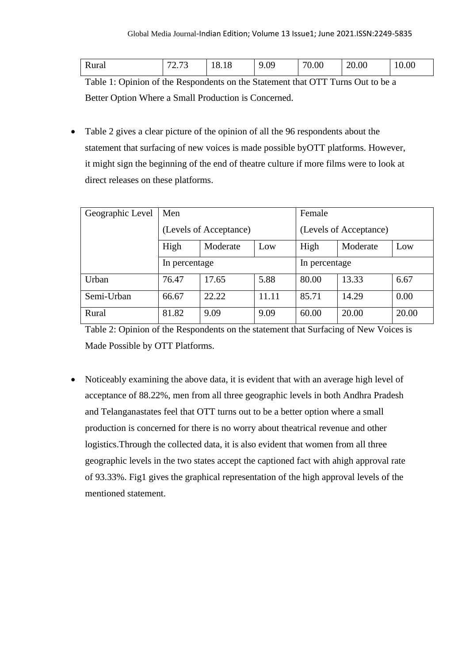| Rural | $\sqrt{2}$<br>$\sqrt{2}$<br>ن ، ، پ | 1 C<br>ω<br>10.10 | ΩQ<br>u<br>ノ・リノ | 70.00 | 20.00 | 10.00 |
|-------|-------------------------------------|-------------------|-----------------|-------|-------|-------|
|-------|-------------------------------------|-------------------|-----------------|-------|-------|-------|

Table 1: Opinion of the Respondents on the Statement that OTT Turns Out to be a Better Option Where a Small Production is Concerned.

• Table 2 gives a clear picture of the opinion of all the 96 respondents about the statement that surfacing of new voices is made possible byOTT platforms. However, it might sign the beginning of the end of theatre culture if more films were to look at direct releases on these platforms.

| Geographic Level | Men<br>(Levels of Acceptance) |          |       | Female                 |          |       |  |
|------------------|-------------------------------|----------|-------|------------------------|----------|-------|--|
|                  |                               |          |       | (Levels of Acceptance) |          |       |  |
|                  | High                          | Moderate | Low   | High                   | Moderate | Low   |  |
|                  | In percentage                 |          |       | In percentage          |          |       |  |
| Urban            | 76.47                         | 17.65    | 5.88  | 80.00                  | 13.33    | 6.67  |  |
| Semi-Urban       | 66.67                         | 22.22    | 11.11 | 85.71                  | 14.29    | 0.00  |  |
| Rural            | 81.82                         | 9.09     | 9.09  | 60.00                  | 20.00    | 20.00 |  |

Table 2: Opinion of the Respondents on the statement that Surfacing of New Voices is Made Possible by OTT Platforms.

• Noticeably examining the above data, it is evident that with an average high level of acceptance of 88.22%, men from all three geographic levels in both Andhra Pradesh and Telanganastates feel that OTT turns out to be a better option where a small production is concerned for there is no worry about theatrical revenue and other logistics.Through the collected data, it is also evident that women from all three geographic levels in the two states accept the captioned fact with ahigh approval rate of 93.33%. Fig1 gives the graphical representation of the high approval levels of the mentioned statement.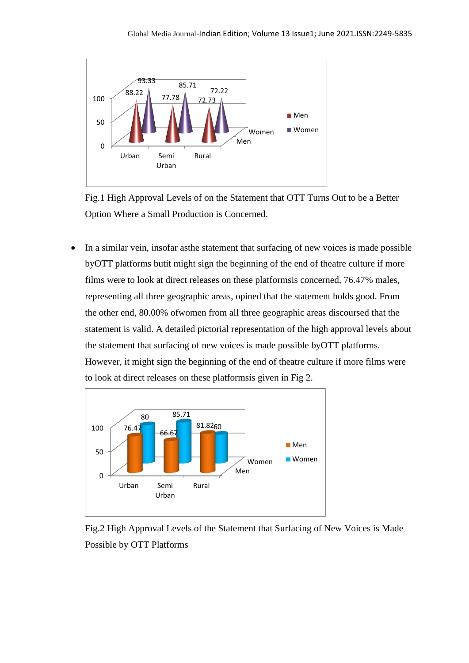

Fig.1 High Approval Levels of on the Statement that OTT Turns Out to be a Better Option Where a Small Production is Concerned.

• In a similar vein, insofar asthe statement that surfacing of new voices is made possible byOTT platforms butit might sign the beginning of the end of theatre culture if more films were to look at direct releases on these platformsis concerned, 76.47% males, representing all three geographic areas, opined that the statement holds good. From the other end, 80.00% ofwomen from all three geographic areas discoursed that the statement is valid. A detailed pictorial representation of the high approval levels about the statement that surfacing of new voices is made possible byOTT platforms. However, it might sign the beginning of the end of theatre culture if more films were to look at direct releases on these platformsis given in Fig 2.



Fig.2 High Approval Levels of the Statement that Surfacing of New Voices is Made Possible by OTT Platforms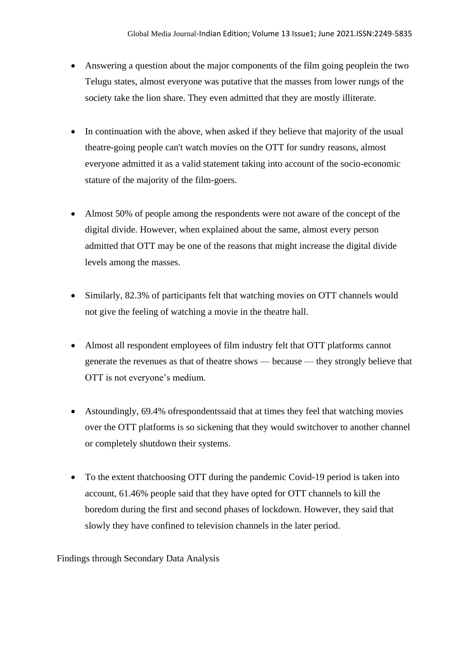- Answering a question about the major components of the film going peoplein the two Telugu states, almost everyone was putative that the masses from lower rungs of the society take the lion share. They even admitted that they are mostly illiterate.
- In continuation with the above, when asked if they believe that majority of the usual theatre-going people can't watch movies on the OTT for sundry reasons, almost everyone admitted it as a valid statement taking into account of the socio-economic stature of the majority of the film-goers.
- Almost 50% of people among the respondents were not aware of the concept of the digital divide. However, when explained about the same, almost every person admitted that OTT may be one of the reasons that might increase the digital divide levels among the masses.
- Similarly, 82.3% of participants felt that watching movies on OTT channels would not give the feeling of watching a movie in the theatre hall.
- Almost all respondent employees of film industry felt that OTT platforms cannot generate the revenues as that of theatre shows — because — they strongly believe that OTT is not everyone's medium.
- Astoundingly, 69.4% of respondents said that at times they feel that watching movies over the OTT platforms is so sickening that they would switchover to another channel or completely shutdown their systems.
- To the extent thatchoosing OTT during the pandemic Covid-19 period is taken into account, 61.46% people said that they have opted for OTT channels to kill the boredom during the first and second phases of lockdown. However, they said that slowly they have confined to television channels in the later period.

Findings through Secondary Data Analysis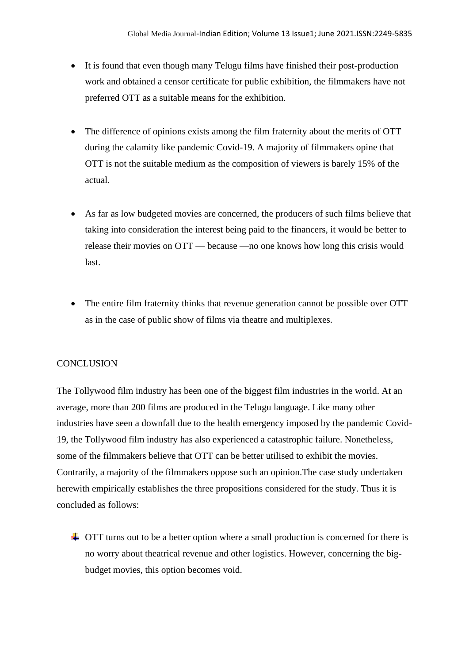- It is found that even though many Telugu films have finished their post-production work and obtained a censor certificate for public exhibition, the filmmakers have not preferred OTT as a suitable means for the exhibition.
- The difference of opinions exists among the film fraternity about the merits of OTT during the calamity like pandemic Covid-19. A majority of filmmakers opine that OTT is not the suitable medium as the composition of viewers is barely 15% of the actual.
- As far as low budgeted movies are concerned, the producers of such films believe that taking into consideration the interest being paid to the financers, it would be better to release their movies on OTT — because —no one knows how long this crisis would last.
- The entire film fraternity thinks that revenue generation cannot be possible over OTT as in the case of public show of films via theatre and multiplexes.

# **CONCLUSION**

The Tollywood film industry has been one of the biggest film industries in the world. At an average, more than 200 films are produced in the Telugu language. Like many other industries have seen a downfall due to the health emergency imposed by the pandemic Covid-19, the Tollywood film industry has also experienced a catastrophic failure. Nonetheless, some of the filmmakers believe that OTT can be better utilised to exhibit the movies. Contrarily, a majority of the filmmakers oppose such an opinion.The case study undertaken herewith empirically establishes the three propositions considered for the study. Thus it is concluded as follows:

 $\overline{\phantom{a}}$  OTT turns out to be a better option where a small production is concerned for there is no worry about theatrical revenue and other logistics. However, concerning the bigbudget movies, this option becomes void.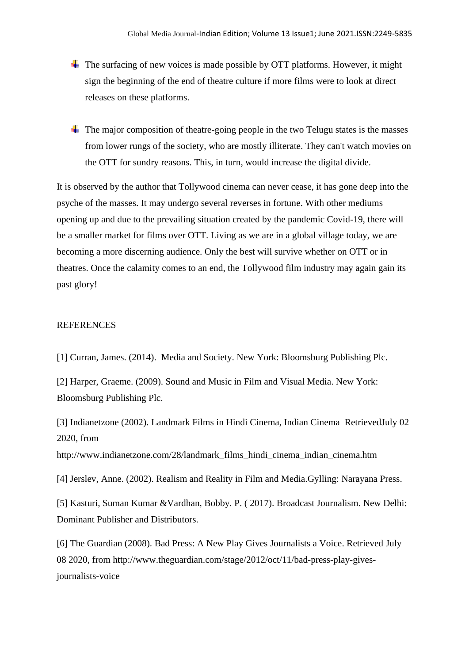- $\overline{\text{F}}$  The surfacing of new voices is made possible by OTT platforms. However, it might sign the beginning of the end of theatre culture if more films were to look at direct releases on these platforms.
- $\downarrow$  The major composition of theatre-going people in the two Telugu states is the masses from lower rungs of the society, who are mostly illiterate. They can't watch movies on the OTT for sundry reasons. This, in turn, would increase the digital divide.

It is observed by the author that Tollywood cinema can never cease, it has gone deep into the psyche of the masses. It may undergo several reverses in fortune. With other mediums opening up and due to the prevailing situation created by the pandemic Covid-19, there will be a smaller market for films over OTT. Living as we are in a global village today, we are becoming a more discerning audience. Only the best will survive whether on OTT or in theatres. Once the calamity comes to an end, the Tollywood film industry may again gain its past glory!

#### REFERENCES

[1] Curran, James. (2014). Media and Society. New York: Bloomsburg Publishing Plc.

[2] Harper, Graeme. (2009). Sound and Music in Film and Visual Media. New York: Bloomsburg Publishing Plc.

[3] Indianetzone (2002). Landmark Films in Hindi Cinema, Indian Cinema RetrievedJuly 02 2020, from

http://www.indianetzone.com/28/landmark\_films\_hindi\_cinema\_indian\_cinema.htm

[4] Jerslev, Anne. (2002). Realism and Reality in Film and Media.Gylling: Narayana Press.

[5] Kasturi, Suman Kumar &Vardhan, Bobby. P. ( 2017). Broadcast Journalism. New Delhi: Dominant Publisher and Distributors.

[6] The Guardian (2008). Bad Press: A New Play Gives Journalists a Voice. Retrieved July 08 2020, from http://www.theguardian.com/stage/2012/oct/11/bad-press-play-givesjournalists-voice